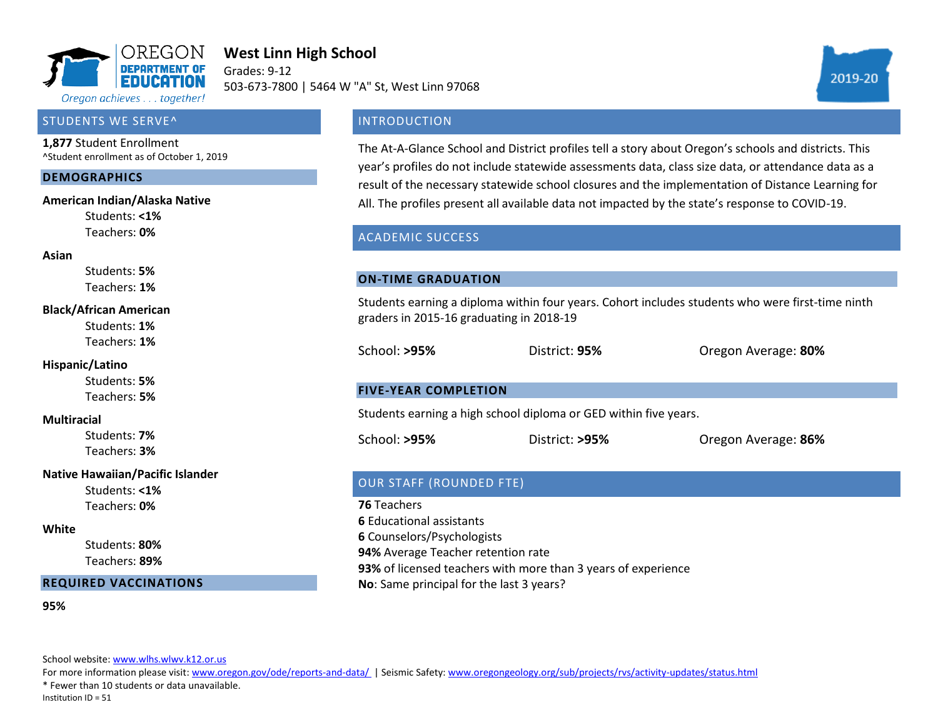

# **West Linn High School**

Grades: 9-12 503-673-7800 | 5464 W "A" St, West Linn 97068



### **INTRODUCTION**

The At-A-Glance School and District profiles tell a story about Oregon's schools and districts. This year's profiles do not include statewide assessments data, class size data, or attendance data as a result of the necessary statewide school closures and the implementation of Distance Learning for All. The profiles present all available data not impacted by the state's response to COVID-19.

## ACADEMIC SUCCESS

#### **ON-TIME GRADUATION**

Students earning a diploma within four years. Cohort includes students who were first-time ninth graders in 2015-16 graduating in 2018-19

School: **>95%** District: **95%** Oregon Average: **80%**

### **FIVE-YEAR COMPLETION**

Students earning a high school diploma or GED within five years.

School: **>95%** District: **>95%** Oregon Average: **86%**

## OUR STAFF (ROUNDED FTE)

**76** Teachers **6** Educational assistants **6** Counselors/Psychologists **94%** Average Teacher retention rate **93%** of licensed teachers with more than 3 years of experience **No**: Same principal for the last 3 years?

Oregon achieves . . . together!

## STUDENTS WE SERVE^

**1,877** Student Enrollment ^Student enrollment as of October 1, 2019

#### **DEMOGRAPHICS**

#### **American Indian/Alaska Native**

Students: **<1%** Teachers: **0%**

#### **Asian**

Students: **5%** Teachers: **1%**

#### **Black/African American**

Students: **1%** Teachers: **1%**

#### **Hispanic/Latino**

Students: **5%** Teachers: **5%**

#### **Multiracial**

Students: **7%** Teachers: **3%**

### **Native Hawaiian/Pacific Islander**

Students: **<1%** Teachers: **0%**

#### **White**

Students: **80%** Teachers: **89%**

#### **REQUIRED VACCINATIONS**

**95%**

School website: www.wlhs.wlwv.k12.or.us

For more information please visit: www.oregon.gov/ode/reports-and-data/ | Seismic Safety: www.oregongeology.org/sub/projects/rvs/activity-updates/status.html

\* Fewer than 10 students or data unavailable.

Institution ID = 51